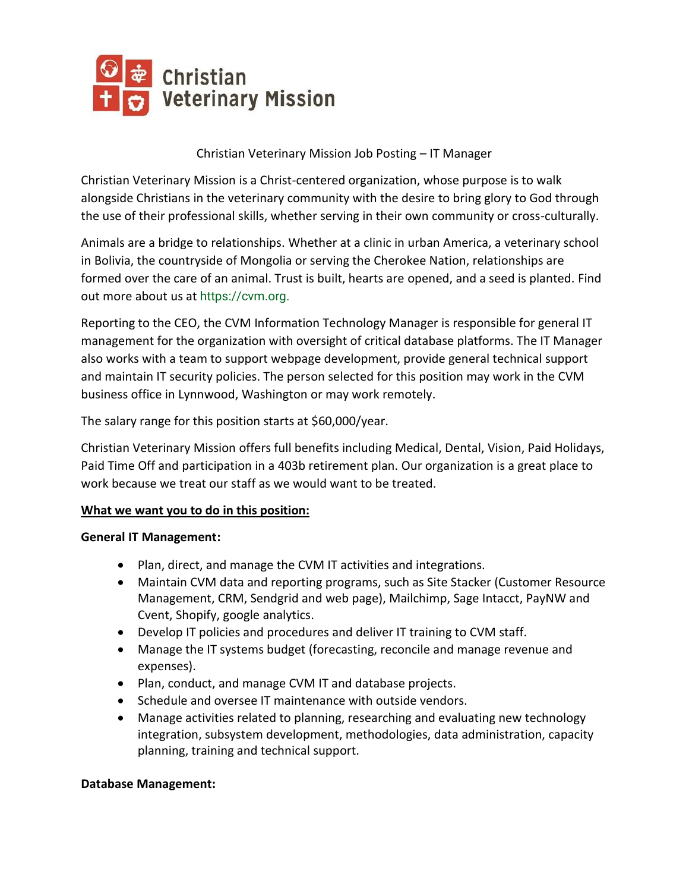

### Christian Veterinary Mission Job Posting – IT Manager

Christian Veterinary Mission is a Christ-centered organization, whose purpose is to walk alongside Christians in the veterinary community with the desire to bring glory to God through the use of their professional skills, whether serving in their own community or cross-culturally.

Animals are a bridge to relationships. Whether at a clinic in urban America, a veterinary school in Bolivia, the countryside of Mongolia or serving the Cherokee Nation, relationships are formed over the care of an animal. Trust is built, hearts are opened, and a seed is planted. Find out more about us at https://cvm.org.

Reporting to the CEO, the CVM Information Technology Manager is responsible for general IT management for the organization with oversight of critical database platforms. The IT Manager also works with a team to support webpage development, provide general technical support and maintain IT security policies. The person selected for this position may work in the CVM business office in Lynnwood, Washington or may work remotely.

The salary range for this position starts at \$60,000/year.

Christian Veterinary Mission offers full benefits including Medical, Dental, Vision, Paid Holidays, Paid Time Off and participation in a 403b retirement plan. Our organization is a great place to work because we treat our staff as we would want to be treated.

#### **What we want you to do in this position:**

#### **General IT Management:**

- Plan, direct, and manage the CVM IT activities and integrations.
- Maintain CVM data and reporting programs, such as Site Stacker (Customer Resource Management, CRM, Sendgrid and web page), Mailchimp, Sage Intacct, PayNW and Cvent, Shopify, google analytics.
- Develop IT policies and procedures and deliver IT training to CVM staff.
- Manage the IT systems budget (forecasting, reconcile and manage revenue and expenses).
- Plan, conduct, and manage CVM IT and database projects.
- Schedule and oversee IT maintenance with outside vendors.
- Manage activities related to planning, researching and evaluating new technology integration, subsystem development, methodologies, data administration, capacity planning, training and technical support.

#### **Database Management:**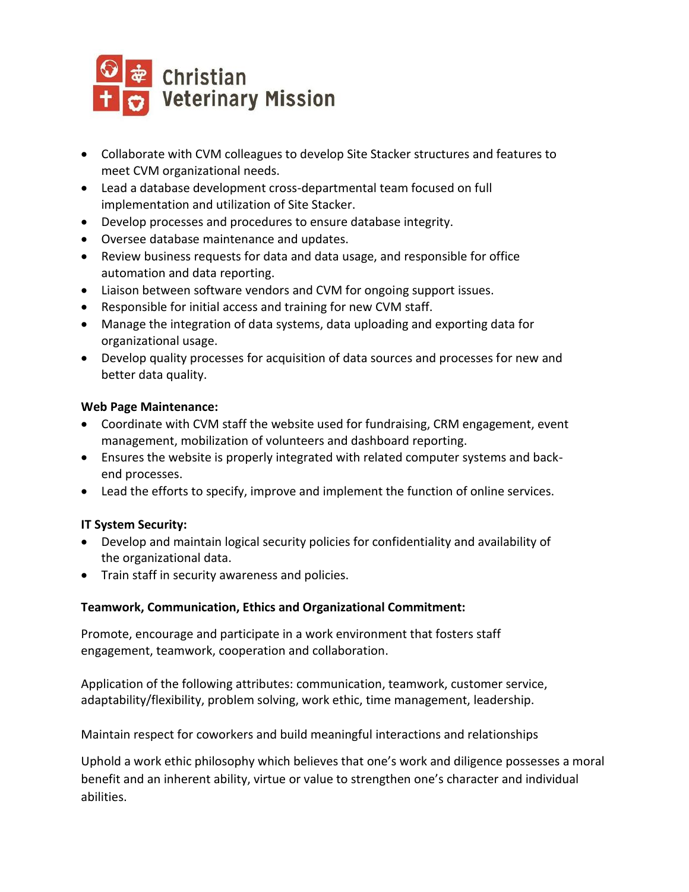

- Collaborate with CVM colleagues to develop Site Stacker structures and features to meet CVM organizational needs.
- Lead a database development cross-departmental team focused on full implementation and utilization of Site Stacker.
- Develop processes and procedures to ensure database integrity.
- Oversee database maintenance and updates.
- Review business requests for data and data usage, and responsible for office automation and data reporting.
- Liaison between software vendors and CVM for ongoing support issues.
- Responsible for initial access and training for new CVM staff.
- Manage the integration of data systems, data uploading and exporting data for organizational usage.
- Develop quality processes for acquisition of data sources and processes for new and better data quality.

### **Web Page Maintenance:**

- Coordinate with CVM staff the website used for fundraising, CRM engagement, event management, mobilization of volunteers and dashboard reporting.
- Ensures the website is properly integrated with related computer systems and backend processes.
- Lead the efforts to specify, improve and implement the function of online services.

# **IT System Security:**

- Develop and maintain logical security policies for confidentiality and availability of the organizational data.
- Train staff in security awareness and policies.

# **Teamwork, Communication, Ethics and Organizational Commitment:**

Promote, encourage and participate in a work environment that fosters staff engagement, teamwork, cooperation and collaboration.

Application of the following attributes: communication, teamwork, customer service, adaptability/flexibility, problem solving, work ethic, time management, leadership.

Maintain respect for coworkers and build meaningful interactions and relationships

Uphold a work ethic philosophy which believes that one's work and diligence possesses a moral benefit and an inherent ability, virtue or value to strengthen one's character and individual abilities.